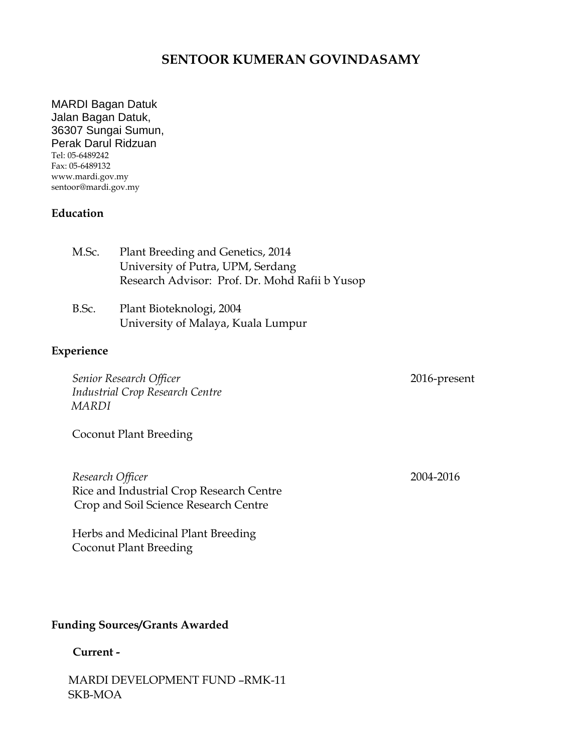# **SENTOOR KUMERAN GOVINDASAMY**

MARDI Bagan Datuk Jalan Bagan Datuk, 36307 Sungai Sumun, Perak Darul Ridzuan Tel: 05-6489242 Fax: 05-6489132 www.mardi.gov.my sentoor@mardi.gov.my

### **Education**

| M.Sc. | Plant Breeding and Genetics, 2014              |
|-------|------------------------------------------------|
|       | University of Putra, UPM, Serdang              |
|       | Research Advisor: Prof. Dr. Mohd Rafii b Yusop |
|       |                                                |

B.Sc. Plant Bioteknologi, 2004 University of Malaya, Kuala Lumpur

## **Experience**

*Senior Research Officer* 2016-present *Industrial Crop Research Centre MARDI*

Coconut Plant Breeding

*Research Officer* 2004-2016 Rice and Industrial Crop Research Centre Crop and Soil Science Research Centre

Herbs and Medicinal Plant Breeding Coconut Plant Breeding

### **Funding Sources/Grants Awarded**

# **Current -**

MARDI DEVELOPMENT FUND –RMK-11 SKB-MOA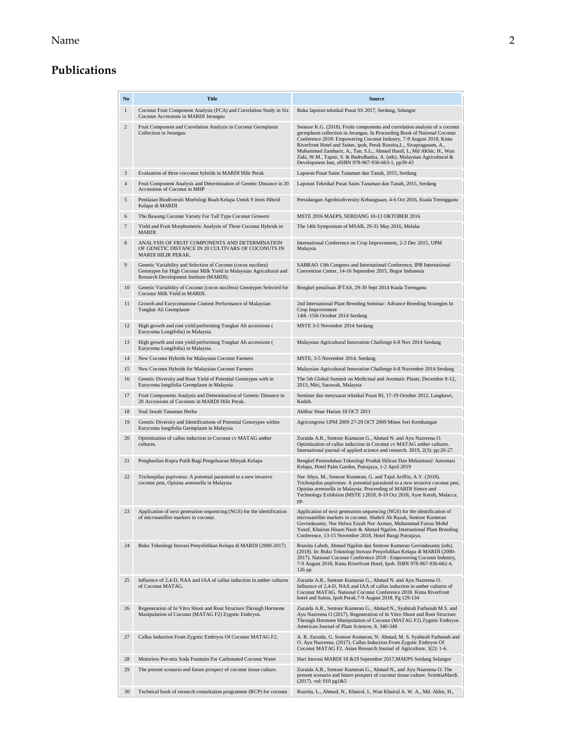#### Name 2

# **Publications**

| N <sub>0</sub> | <b>Title</b>                                                                                                                                                                    | <b>Source</b>                                                                                                                                                                                                                                                                                                                                                                                                                                                                                                         |
|----------------|---------------------------------------------------------------------------------------------------------------------------------------------------------------------------------|-----------------------------------------------------------------------------------------------------------------------------------------------------------------------------------------------------------------------------------------------------------------------------------------------------------------------------------------------------------------------------------------------------------------------------------------------------------------------------------------------------------------------|
| $\mathbf{1}$   | Coconut Fruit Component Analysis (FCA) and Correlation Study in Six<br>Coconut Accessions in MARDI Jerangau                                                                     | Buku laporan teknikal Pusat SS 2017, Serdang, Selangor                                                                                                                                                                                                                                                                                                                                                                                                                                                                |
| 2              | Fruit Component and Correlation Analysis in Coconut Germplasm<br>Collection in Jerangau                                                                                         | Sentoor K.G. (2018). Fruits components and correlation analysis of a coconut<br>germplasm collection in Jerangau. In Proceeding Book of National Coconut<br>Conference 2018: Empowering Coconut Industry, 7-9 August 2018, Kinta<br>Riverfront Hotel and Suites, ipoh, Perak Rozeita, L., Sivapragasam, A.,<br>Muhammad Zamharir, A., Tan, S.L., Ahmad Hanif, I., Md AKhir, H., Wan<br>Zaki, W.M., Tapsir, S. & Badrulhadza, A. (eds). Malaysian Agricultural &<br>Development Inst, eISBN 978-967-936-663-1, pp39-43 |
| 3              | Evaluation of three cocconut hybrids in MARDI Hilir Perak                                                                                                                       | Laporan Pusat Sains Tanaman dan Tanah, 2015, Serdang                                                                                                                                                                                                                                                                                                                                                                                                                                                                  |
| 4              | Fruit Component Analysis and Determination of Genetic Distance in 20<br>Accessions of Coconut in MHP                                                                            | Laporan Teknikal Pusat Sains Tanaman dan Tanah, 2015, Serdang                                                                                                                                                                                                                                                                                                                                                                                                                                                         |
| 5              | Penilaian Biodiversiti Morfologi Buah Kelapa Untuk 9 Jenis Hibrid<br>Kelapa di MARDI                                                                                            | Persidangan Agrobiodiversity Kebangsaan, 4-6 Oct 2016, Kuala Terengganu                                                                                                                                                                                                                                                                                                                                                                                                                                               |
| 6              | The Bawang Coconut Variety For Tall Type Coconut Growers                                                                                                                        | MSTE 2016 MAEPS, SERDANG 10-13 OKTOBER 2016                                                                                                                                                                                                                                                                                                                                                                                                                                                                           |
| $\overline{7}$ | Yield and Fruit Morphometric Analysis of Three Coconut Hybrids in<br><b>MARDI</b>                                                                                               | The 14th Symposium of MSAB, 29-31 May 2016, Melaka                                                                                                                                                                                                                                                                                                                                                                                                                                                                    |
| 8              | ANALYSIS OF FRUIT COMPONENTS AND DETERMINATION<br>OF GENETIC DISTANCE IN 20 CULTIVARS OF COCONUTS IN<br>MARDI HILIR PERAK.                                                      | International Conference on Crop Improvement, 2-3 Dec 2015, UPM<br>Malaysia                                                                                                                                                                                                                                                                                                                                                                                                                                           |
| 9              | Genetic Variability and Selection of Coconut (cocos nucifera)<br>Genotypes for High Coconut Milk Yield in Malaysian Agricultural and<br>Research Development Institute (MARDI). | SABRAO 13th Congress and International Conference, IPB International<br>Convention Center, 14-16 September 2015, Bogor Indonesia                                                                                                                                                                                                                                                                                                                                                                                      |
| 10             | Genetic Variability of Coconut (cocos nucifera) Genotypes Selected for<br>Coconut Milk Yield in MARDI.                                                                          | Bengkel penulisan JFTAS, 29-30 Sept 2014 Kuala Terenganu                                                                                                                                                                                                                                                                                                                                                                                                                                                              |
| 11             | Growth and Eurycomanone Content Performance of Malaysian<br>Tongkat Ali Germplasm                                                                                               | 2nd International Plant Breeding Seminar: Advance Breeding Strategies In<br>Crop Improvement<br>14th -15th October 2014 Serdang                                                                                                                                                                                                                                                                                                                                                                                       |
| 12             | High growth and root yield performing Tongkat Ali accessions (<br>Eurycoma Longifolia) in Malaysia.                                                                             | MSTE 3-5 November 2014 Serdang                                                                                                                                                                                                                                                                                                                                                                                                                                                                                        |
| 13             | High growth and root yield performing Tongkat Ali accessions (<br>Eurycoma Longifolia) in Malaysia.                                                                             | Malaysian Agricultural Innovation Challenge 6-8 Nov 2014 Serdang                                                                                                                                                                                                                                                                                                                                                                                                                                                      |
| 14             | New Coconut Hybrids for Malaysian Coconut Farmers                                                                                                                               | MSTE, 3-5 November 2014, Serdang                                                                                                                                                                                                                                                                                                                                                                                                                                                                                      |
| 15             | New Coconut Hybrids for Malaysian Coconut Farmers                                                                                                                               | Malaysian Agricultural Innovation Challenge 6-8 November 2014 Serdang                                                                                                                                                                                                                                                                                                                                                                                                                                                 |
| 16             | Genetic Diversity and Root Yield of Potential Genotypes with in<br>Eurycoma longifolia Germplasm in Malaysia                                                                    | The 5th Global Summit on Medicinal and Aromatic Plants, December 8-12,<br>2013, Miri, Sarawak, Malaysia                                                                                                                                                                                                                                                                                                                                                                                                               |
| 17             | Fruit Components Analysis and Determination of Genetic Distance in<br>20 Accessions of Coconuts in MARDI Hilir Perak.                                                           | Seminar dan mesyuarat teknikal Pusat RI, 17-19 October 2012, Langkawi,<br>Kedah.                                                                                                                                                                                                                                                                                                                                                                                                                                      |
| 18             | Soal Jawab Tanaman Herba                                                                                                                                                        | Akhbar Sinar Harian 18 OCT 2011                                                                                                                                                                                                                                                                                                                                                                                                                                                                                       |
| 19             | Genetic Diversity and Identifications of Potential Genotypes within<br>Eurycoma longifolia Germplasm in Malaysia                                                                | Agricongress UPM 2009 27-29 OCT 2009 Mines Seri Kembangan                                                                                                                                                                                                                                                                                                                                                                                                                                                             |
| 20             | Optimization of callus induction in Coconut cv MATAG anther<br>cultures.                                                                                                        | Zuraida A.R., Sentoor Kumaran G., Ahmad N. and Ayu Nazreena O.<br>Optimization of callus induction in Coconut cv MATAG anther cultures.<br>International journal of applied science and research. 2019, 2(3): pp:20-27.                                                                                                                                                                                                                                                                                               |
| 21             | Penghasilan Kopra Putih Bagi Pengeluaran Minyak Kelapa                                                                                                                          | Bengkel Pemindahan Teknologi Produk Hiliran Dan Mekanisasi/Automasi<br>Kelapa, Hotel Palm Garden, Putrajaya, 1-2 April 2019                                                                                                                                                                                                                                                                                                                                                                                           |
| 22             | Trichospilus pupivorus: A potential parasitoid to a new invasive<br>coconut pest, Opisina arenosella in Malaysia                                                                | Nor Ahya, M., Sentoor Kumeran, G. and Tajul Ariffin, A.Y. (2018).<br>Trichospilus pupivorus: A potential parasitoid to a new invasive coconut pest,<br>Opisina arenosella in Malaysia. Proceeding of MARDI Sience and<br>Technology Exhibiion (MSTE) 2018, 8-10 Oct 2018, Ayer Keroh, Malacca.<br>pp.                                                                                                                                                                                                                 |
| 23             | Application of next generation sequencing (NGS) for the identification<br>of microsatellite markers in coconut.                                                                 | Application of next generation sequencing (NGS) for the identification of<br>microsatellite markers in coconut. Shahril Ab Razak, Sentoor Kumeran<br>Govindasamy, Nor Helwa Ezzah Nor Azman, Muhammad Fairuz Mohd<br>Yusof, Khairun Hisam Nasir & Ahmad Ngalim. International Plant Breeding<br>Conference, 13-15 November 2018, Hotel Bangi Putrajaya.                                                                                                                                                               |
| 24             | Buku Teknologi Inovasi Penyelidikan Kelapa di MARDI (2000-2017)                                                                                                                 | Rozeita Laboh, Ahmad Ngalim dan Sentoor Kumeran Govindasamy (eds).<br>(2018). In: Buku Teknologi Inovasi Penyelidikan Kelapa di MARDI (2000-<br>2017). National Coconut Conference 2018 : Empowering Coconut Industry,<br>7-9 August 2018, Kinta Riverfront Hotel, Ipoh. ISBN 978-967-936-662-4,<br>126 pp                                                                                                                                                                                                            |
| 25             | Influence of 2,4-D, NAA and IAA of callus induction in anther cultures<br>of Coconut MATAG.                                                                                     | Zuraida A.R., Sentoor Kumaran G., Ahmad N. and Ayu Nazreena O.<br>Influence of 2,4-D, NAA and IAA of callus induction in anther cultures of<br>Coconut MATAG. National Coconut Conference 2018. Kinta Riverfront<br>hotel and Suites, Ipoh Perak.7-9 August 2018. Pg 129-134                                                                                                                                                                                                                                          |
| 26             | Regeneration of In Vitro Shoot and Root Structure Through Hormone<br>Manipulation of Coconut (MATAG F2) Zygotic Embryos.                                                        | Zuraida A.R., Sentoor Kumeran G., Ahmad N., Syahirah Farhanah M.S. and<br>Ayu Nazreena O (2017). Regeneration of In Vitro Shoot and Root Structure<br>Through Hormone Manipulation of Coconut (MATAG F2) Zygotic Embryos.<br>American Journal of Plant Sciences, 8, 340-348                                                                                                                                                                                                                                           |
| 27             | Callus Induction From Zygotic Embryos Of Coconut MATAG F2.                                                                                                                      | A. R. Zuraida, G. Sentoor Kumaran, N. Ahmad, M. S. Syahirah Farhanah and<br>O. Ayu Nazreena. (2017). Callus Induction From Zygotic Embryos Of<br>Coconut MATAG F2. Asian Research Journal of Agriculture. 3(2): 1-6.                                                                                                                                                                                                                                                                                                  |
| 28             | Motorless Pre-mix Soda Fountain For Carbonated Coconut Water                                                                                                                    | Hari Inovasi MARDI 18 & 19 September 2017, MAEPS Serdang Selangor                                                                                                                                                                                                                                                                                                                                                                                                                                                     |
| 29             | The present scenario and future prospect of coconut tissue culture.                                                                                                             | Zuraida A.R., Sentoor Kumeran G., Ahmad N., and Ayu Nazreena O. The<br>present scenario and future prospect of coconut tissue culture. ScientiaMardi.<br>$(2017)$ . vol: 010 pg1&5                                                                                                                                                                                                                                                                                                                                    |
| 30             | Technical book of research consultation programme (RCP) for coconut                                                                                                             | Rozeita, L., Ahmad, N., Khairol, I., Wan Khairul A. W. A., Md. Akhir, H.,                                                                                                                                                                                                                                                                                                                                                                                                                                             |